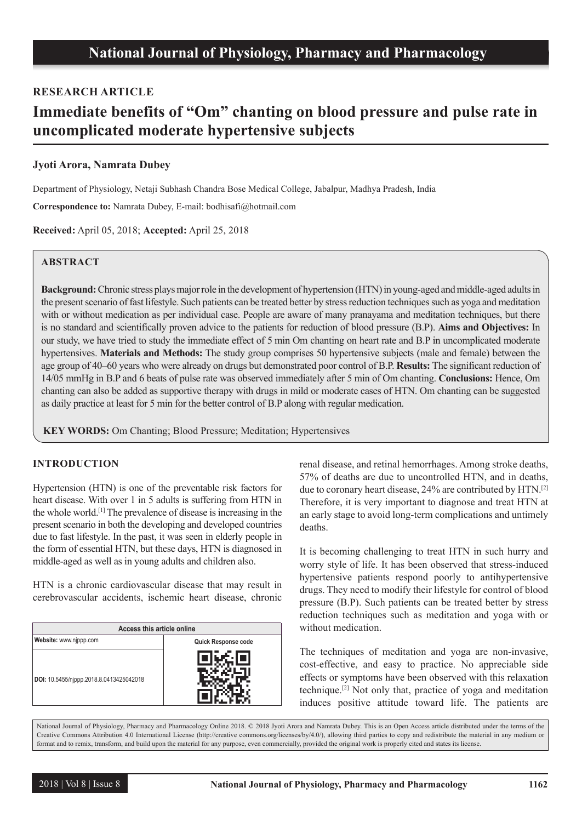# **RESEARCH ARTICLE**

# **Immediate benefits of "Om" chanting on blood pressure and pulse rate in uncomplicated moderate hypertensive subjects**

#### **Jyoti Arora, Namrata Dubey**

Department of Physiology, Netaji Subhash Chandra Bose Medical College, Jabalpur, Madhya Pradesh, India

**Correspondence to:** Namrata Dubey, E-mail: bodhisafi@hotmail.com

**Received:** April 05, 2018; **Accepted:** April 25, 2018

## **ABSTRACT**

**Background:** Chronic stress plays major role in the development of hypertension (HTN) in young-aged and middle-aged adults in the present scenario of fast lifestyle. Such patients can be treated better by stress reduction techniques such as yoga and meditation with or without medication as per individual case. People are aware of many pranayama and meditation techniques, but there is no standard and scientifically proven advice to the patients for reduction of blood pressure (B.P). **Aims and Objectives:** In our study, we have tried to study the immediate effect of 5 min Om chanting on heart rate and B.P in uncomplicated moderate hypertensives. **Materials and Methods:** The study group comprises 50 hypertensive subjects (male and female) between the age group of 40–60 years who were already on drugs but demonstrated poor control of B.P. **Results:** The significant reduction of 14/05 mmHg in B.P and 6 beats of pulse rate was observed immediately after 5 min of Om chanting. **Conclusions:** Hence, Om chanting can also be added as supportive therapy with drugs in mild or moderate cases of HTN. Om chanting can be suggested as daily practice at least for 5 min for the better control of B.P along with regular medication.

**KEY WORDS:** Om Chanting; Blood Pressure; Meditation; Hypertensives

#### **INTRODUCTION**

Hypertension (HTN) is one of the preventable risk factors for heart disease. With over 1 in 5 adults is suffering from HTN in the whole world.[1] The prevalence of disease is increasing in the present scenario in both the developing and developed countries due to fast lifestyle. In the past, it was seen in elderly people in the form of essential HTN, but these days, HTN is diagnosed in middle-aged as well as in young adults and children also.

HTN is a chronic cardiovascular disease that may result in cerebrovascular accidents, ischemic heart disease, chronic

| Access this article online              |                     |  |  |
|-----------------------------------------|---------------------|--|--|
| Website: www.njppp.com                  | Quick Response code |  |  |
| DOI: 10.5455/njppp.2018.8.0413425042018 |                     |  |  |

renal disease, and retinal hemorrhages. Among stroke deaths, 57% of deaths are due to uncontrolled HTN, and in deaths, due to coronary heart disease, 24% are contributed by HTN.[2] Therefore, it is very important to diagnose and treat HTN at an early stage to avoid long-term complications and untimely deaths.

It is becoming challenging to treat HTN in such hurry and worry style of life. It has been observed that stress-induced hypertensive patients respond poorly to antihypertensive drugs. They need to modify their lifestyle for control of blood pressure (B.P). Such patients can be treated better by stress reduction techniques such as meditation and yoga with or without medication.

The techniques of meditation and yoga are non-invasive, cost-effective, and easy to practice. No appreciable side effects or symptoms have been observed with this relaxation technique.[2] Not only that, practice of yoga and meditation induces positive attitude toward life. The patients are

National Journal of Physiology, Pharmacy and Pharmacology Online 2018. © 2018 Jyoti Arora and Namrata Dubey. This is an Open Access article distributed under the terms of the Creative Commons Attribution 4.0 International License (http://creative commons.org/licenses/by/4.0/), allowing third parties to copy and redistribute the material in any medium or format and to remix, transform, and build upon the material for any purpose, even commercially, provided the original work is properly cited and states its license.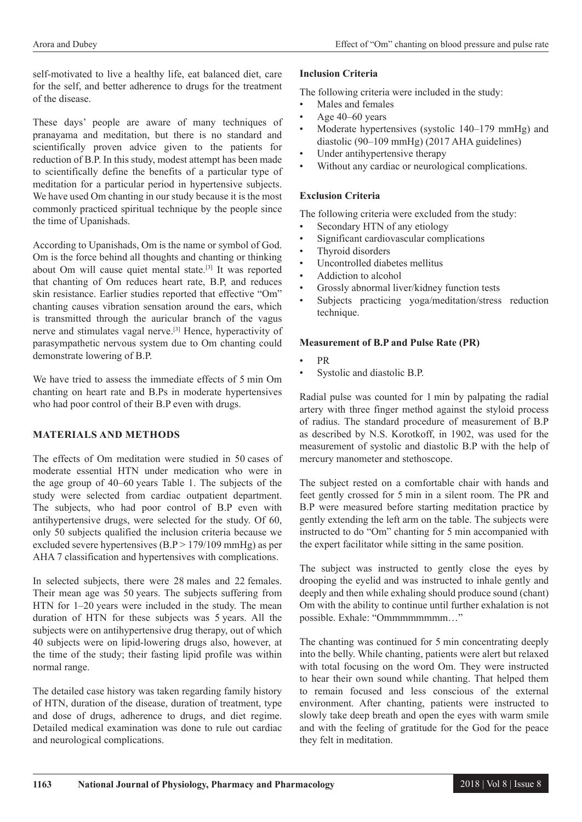self-motivated to live a healthy life, eat balanced diet, care for the self, and better adherence to drugs for the treatment of the disease.

These days' people are aware of many techniques of pranayama and meditation, but there is no standard and scientifically proven advice given to the patients for reduction of B.P. In this study, modest attempt has been made to scientifically define the benefits of a particular type of meditation for a particular period in hypertensive subjects. We have used Om chanting in our study because it is the most commonly practiced spiritual technique by the people since the time of Upanishads.

According to Upanishads, Om is the name or symbol of God. Om is the force behind all thoughts and chanting or thinking about Om will cause quiet mental state.<sup>[3]</sup> It was reported that chanting of Om reduces heart rate, B.P, and reduces skin resistance. Earlier studies reported that effective "Om" chanting causes vibration sensation around the ears, which is transmitted through the auricular branch of the vagus nerve and stimulates vagal nerve.[3] Hence, hyperactivity of parasympathetic nervous system due to Om chanting could demonstrate lowering of B.P.

We have tried to assess the immediate effects of 5 min Om chanting on heart rate and B.Ps in moderate hypertensives who had poor control of their B.P even with drugs.

#### **MATERIALS AND METHODS**

The effects of Om meditation were studied in 50 cases of moderate essential HTN under medication who were in the age group of 40–60 years Table 1. The subjects of the study were selected from cardiac outpatient department. The subjects, who had poor control of B.P even with antihypertensive drugs, were selected for the study. Of 60, only 50 subjects qualified the inclusion criteria because we excluded severe hypertensives  $(B.P > 179/109 \text{ mmHg})$  as per AHA 7 classification and hypertensives with complications.

In selected subjects, there were 28 males and 22 females. Their mean age was 50 years. The subjects suffering from HTN for 1–20 years were included in the study. The mean duration of HTN for these subjects was 5 years. All the subjects were on antihypertensive drug therapy, out of which 40 subjects were on lipid-lowering drugs also, however, at the time of the study; their fasting lipid profile was within normal range.

The detailed case history was taken regarding family history of HTN, duration of the disease, duration of treatment, type and dose of drugs, adherence to drugs, and diet regime. Detailed medical examination was done to rule out cardiac and neurological complications.

### **Inclusion Criteria**

The following criteria were included in the study:

- Males and females
- Age  $40-60$  years
- Moderate hypertensives (systolic 140–179 mmHg) and diastolic (90–109 mmHg) (2017 AHA guidelines)
- Under antihypertensive therapy
- Without any cardiac or neurological complications.

#### **Exclusion Criteria**

The following criteria were excluded from the study:

- Secondary HTN of any etiology
- Significant cardiovascular complications
- Thyroid disorders
- Uncontrolled diabetes mellitus
- Addiction to alcohol
- Grossly abnormal liver/kidney function tests
- Subjects practicing yoga/meditation/stress reduction technique.

#### **Measurement of B.P and Pulse Rate (PR)**

- • PR
- Systolic and diastolic B.P.

Radial pulse was counted for 1 min by palpating the radial artery with three finger method against the styloid process of radius. The standard procedure of measurement of B.P as described by N.S. Korotkoff, in 1902, was used for the measurement of systolic and diastolic B.P with the help of mercury manometer and stethoscope.

The subject rested on a comfortable chair with hands and feet gently crossed for 5 min in a silent room. The PR and B.P were measured before starting meditation practice by gently extending the left arm on the table. The subjects were instructed to do "Om" chanting for 5 min accompanied with the expert facilitator while sitting in the same position.

The subject was instructed to gently close the eyes by drooping the eyelid and was instructed to inhale gently and deeply and then while exhaling should produce sound (chant) Om with the ability to continue until further exhalation is not possible. Exhale: "Ommmmmmmm…"

The chanting was continued for 5 min concentrating deeply into the belly. While chanting, patients were alert but relaxed with total focusing on the word Om. They were instructed to hear their own sound while chanting. That helped them to remain focused and less conscious of the external environment. After chanting, patients were instructed to slowly take deep breath and open the eyes with warm smile and with the feeling of gratitude for the God for the peace they felt in meditation.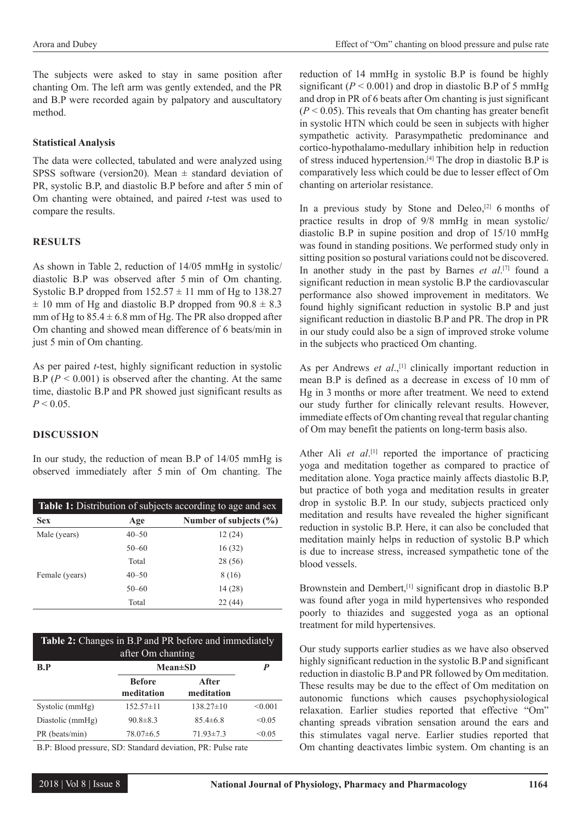The subjects were asked to stay in same position after chanting Om. The left arm was gently extended, and the PR and B.P were recorded again by palpatory and auscultatory method.

# **Statistical Analysis**

The data were collected, tabulated and were analyzed using SPSS software (version20). Mean  $\pm$  standard deviation of PR, systolic B.P, and diastolic B.P before and after 5 min of Om chanting were obtained, and paired *t*-test was used to compare the results.

# **RESULTS**

As shown in Table 2, reduction of 14/05 mmHg in systolic/ diastolic B.P was observed after 5 min of Om chanting. Systolic B.P dropped from  $152.57 \pm 11$  mm of Hg to  $138.27$  $\pm$  10 mm of Hg and diastolic B.P dropped from 90.8  $\pm$  8.3 mm of Hg to  $85.4 \pm 6.8$  mm of Hg. The PR also dropped after Om chanting and showed mean difference of 6 beats/min in just 5 min of Om chanting.

As per paired *t*-test, highly significant reduction in systolic B.P ( $P < 0.001$ ) is observed after the chanting. At the same time, diastolic B.P and PR showed just significant results as  $P < 0.05$ 

# **DISCUSSION**

In our study, the reduction of mean B.P of 14/05 mmHg is observed immediately after 5 min of Om chanting. The

| <b>Table 1:</b> Distribution of subjects according to age and sex |           |                            |  |  |
|-------------------------------------------------------------------|-----------|----------------------------|--|--|
| <b>Sex</b>                                                        | Age       | Number of subjects $(\% )$ |  |  |
| Male (years)                                                      | $40 - 50$ | 12(24)                     |  |  |
|                                                                   | $50 - 60$ | 16(32)                     |  |  |
|                                                                   | Total     | 28 (56)                    |  |  |
| Female (years)                                                    | $40 - 50$ | 8 (16)                     |  |  |
|                                                                   | $50 - 60$ | 14 (28)                    |  |  |
|                                                                   | Total     | 22 (44)                    |  |  |

| Table 2: Changes in B.P and PR before and immediately<br>after Om chanting |                 |                 |         |  |
|----------------------------------------------------------------------------|-----------------|-----------------|---------|--|
| B.P                                                                        | <b>Mean</b> ±SD | P               |         |  |
|                                                                            | <b>Before</b>   | After           |         |  |
|                                                                            | meditation      | meditation      |         |  |
| Systolic (mmHg)                                                            | $152.57 \pm 11$ | $138.27 \pm 10$ | < 0.001 |  |
| Diastolic (mmHg)                                                           | $90.8 \pm 8.3$  | $85.4\pm 6.8$   | < 0.05  |  |
| PR (beats/min)                                                             | $78.07\pm 6.5$  | $71.93 \pm 7.3$ | < 0.05  |  |

B.P: Blood pressure, SD: Standard deviation, PR: Pulse rate

reduction of 14 mmHg in systolic B.P is found be highly significant ( $P < 0.001$ ) and drop in diastolic B.P of 5 mmHg and drop in PR of 6 beats after Om chanting is just significant  $(P < 0.05)$ . This reveals that Om chanting has greater benefit in systolic HTN which could be seen in subjects with higher sympathetic activity. Parasympathetic predominance and cortico-hypothalamo-medullary inhibition help in reduction of stress induced hypertension.[4] The drop in diastolic B.P is comparatively less which could be due to lesser effect of Om chanting on arteriolar resistance.

In a previous study by Stone and Deleo, $[2]$  6 months of practice results in drop of 9/8 mmHg in mean systolic/ diastolic B.P in supine position and drop of 15/10 mmHg was found in standing positions. We performed study only in sitting position so postural variations could not be discovered. In another study in the past by Barnes *et al*. [7] found a significant reduction in mean systolic B.P the cardiovascular performance also showed improvement in meditators. We found highly significant reduction in systolic B.P and just significant reduction in diastolic B.P and PR. The drop in PR in our study could also be a sign of improved stroke volume in the subjects who practiced Om chanting.

As per Andrews et al.,<sup>[1]</sup> clinically important reduction in mean B.P is defined as a decrease in excess of 10 mm of Hg in 3 months or more after treatment. We need to extend our study further for clinically relevant results. However, immediate effects of Om chanting reveal that regular chanting of Om may benefit the patients on long-term basis also.

Ather Ali *et al.*<sup>[1]</sup> reported the importance of practicing yoga and meditation together as compared to practice of meditation alone. Yoga practice mainly affects diastolic B.P, but practice of both yoga and meditation results in greater drop in systolic B.P. In our study, subjects practiced only meditation and results have revealed the higher significant reduction in systolic B.P. Here, it can also be concluded that meditation mainly helps in reduction of systolic B.P which is due to increase stress, increased sympathetic tone of the blood vessels.

Brownstein and Dembert,[1] significant drop in diastolic B.P was found after yoga in mild hypertensives who responded poorly to thiazides and suggested yoga as an optional treatment for mild hypertensives.

Our study supports earlier studies as we have also observed highly significant reduction in the systolic B.P and significant reduction in diastolic B.P and PR followed by Om meditation. These results may be due to the effect of Om meditation on autonomic functions which causes psychophysiological relaxation. Earlier studies reported that effective "Om" chanting spreads vibration sensation around the ears and this stimulates vagal nerve. Earlier studies reported that Om chanting deactivates limbic system. Om chanting is an